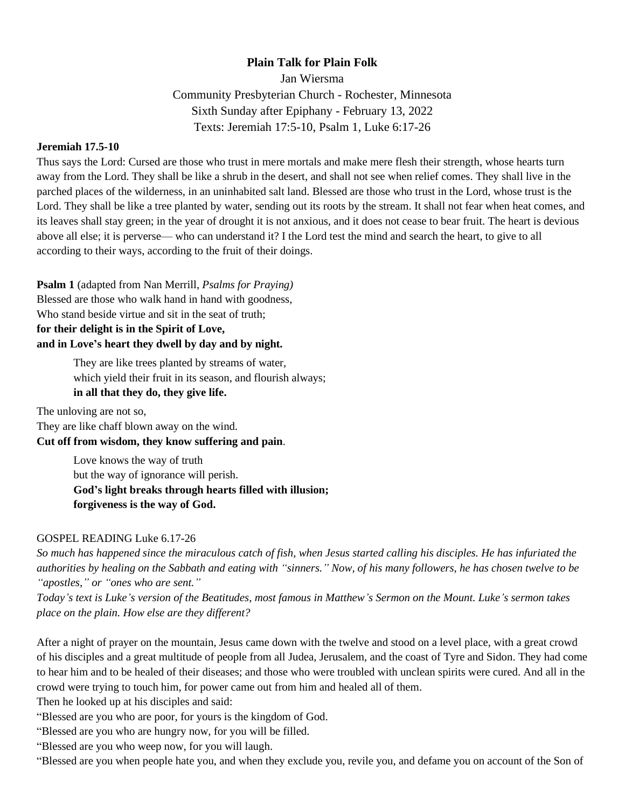## **Plain Talk for Plain Folk**

Jan Wiersma

Community Presbyterian Church - Rochester, Minnesota Sixth Sunday after Epiphany - February 13, 2022 Texts: Jeremiah 17:5-10, Psalm 1, Luke 6:17-26

## **Jeremiah 17.5-10**

Thus says the Lord: Cursed are those who trust in mere mortals and make mere flesh their strength, whose hearts turn away from the Lord. They shall be like a shrub in the desert, and shall not see when relief comes. They shall live in the parched places of the wilderness, in an uninhabited salt land. Blessed are those who trust in the Lord, whose trust is the Lord. They shall be like a tree planted by water, sending out its roots by the stream. It shall not fear when heat comes, and its leaves shall stay green; in the year of drought it is not anxious, and it does not cease to bear fruit. The heart is devious above all else; it is perverse— who can understand it? I the Lord test the mind and search the heart, to give to all according to their ways, according to the fruit of their doings.

**Psalm 1** (adapted from Nan Merrill, *Psalms for Praying)* Blessed are those who walk hand in hand with goodness, Who stand beside virtue and sit in the seat of truth; **for their delight is in the Spirit of Love, and in Love's heart they dwell by day and by night.**

> They are like trees planted by streams of water, which yield their fruit in its season, and flourish always; **in all that they do, they give life.**

The unloving are not so, They are like chaff blown away on the wind.

**Cut off from wisdom, they know suffering and pain**.

Love knows the way of truth but the way of ignorance will perish. **God's light breaks through hearts filled with illusion; forgiveness is the way of God.**

## GOSPEL READING Luke 6.17-26

*So much has happened since the miraculous catch of fish, when Jesus started calling his disciples. He has infuriated the authorities by healing on the Sabbath and eating with "sinners." Now, of his many followers, he has chosen twelve to be "apostles," or "ones who are sent."*

*Today's text is Luke's version of the Beatitudes, most famous in Matthew's Sermon on the Mount. Luke's sermon takes place on the plain. How else are they different?* 

After a night of prayer on the mountain, Jesus came down with the twelve and stood on a level place, with a great crowd of his disciples and a great multitude of people from all Judea, Jerusalem, and the coast of Tyre and Sidon. They had come to hear him and to be healed of their diseases; and those who were troubled with unclean spirits were cured. And all in the crowd were trying to touch him, for power came out from him and healed all of them.

Then he looked up at his disciples and said:

"Blessed are you who are poor, for yours is the kingdom of God.

"Blessed are you who are hungry now, for you will be filled.

"Blessed are you who weep now, for you will laugh.

"Blessed are you when people hate you, and when they exclude you, revile you, and defame you on account of the Son of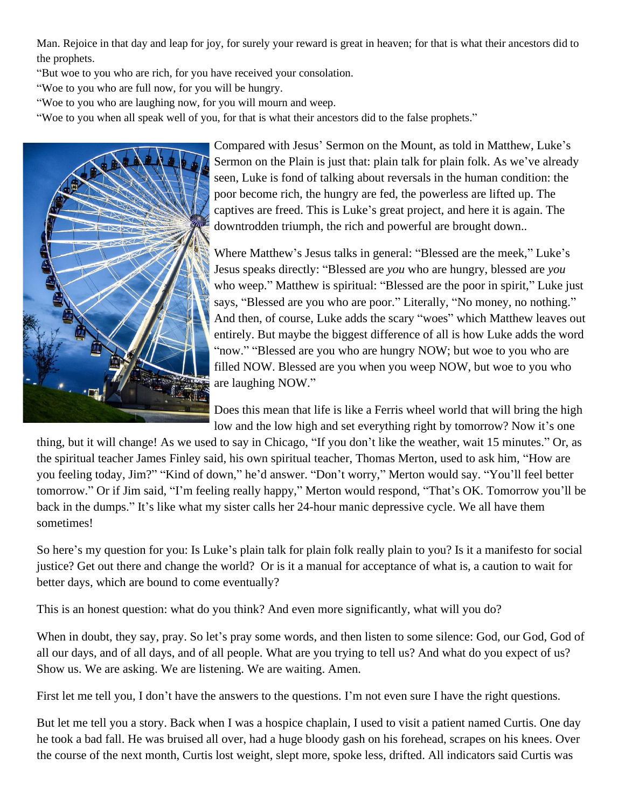Man. Rejoice in that day and leap for joy, for surely your reward is great in heaven; for that is what their ancestors did to the prophets.

"But woe to you who are rich, for you have received your consolation.

"Woe to you who are full now, for you will be hungry.

"Woe to you who are laughing now, for you will mourn and weep.

"Woe to you when all speak well of you, for that is what their ancestors did to the false prophets."



Compared with Jesus' Sermon on the Mount, as told in Matthew, Luke's Sermon on the Plain is just that: plain talk for plain folk. As we've already seen, Luke is fond of talking about reversals in the human condition: the poor become rich, the hungry are fed, the powerless are lifted up. The captives are freed. This is Luke's great project, and here it is again. The downtrodden triumph, the rich and powerful are brought down..

Where Matthew's Jesus talks in general: "Blessed are the meek," Luke's Jesus speaks directly: "Blessed are *you* who are hungry, blessed are *you*  who weep." Matthew is spiritual: "Blessed are the poor in spirit," Luke just says, "Blessed are you who are poor." Literally, "No money, no nothing." And then, of course, Luke adds the scary "woes" which Matthew leaves out entirely. But maybe the biggest difference of all is how Luke adds the word "now." "Blessed are you who are hungry NOW; but woe to you who are filled NOW. Blessed are you when you weep NOW, but woe to you who are laughing NOW."

Does this mean that life is like a Ferris wheel world that will bring the high low and the low high and set everything right by tomorrow? Now it's one

thing, but it will change! As we used to say in Chicago, "If you don't like the weather, wait 15 minutes." Or, as the spiritual teacher James Finley said, his own spiritual teacher, Thomas Merton, used to ask him, "How are you feeling today, Jim?" "Kind of down," he'd answer. "Don't worry," Merton would say. "You'll feel better tomorrow." Or if Jim said, "I'm feeling really happy," Merton would respond, "That's OK. Tomorrow you'll be back in the dumps." It's like what my sister calls her 24-hour manic depressive cycle. We all have them sometimes!

So here's my question for you: Is Luke's plain talk for plain folk really plain to you? Is it a manifesto for social justice? Get out there and change the world? Or is it a manual for acceptance of what is, a caution to wait for better days, which are bound to come eventually?

This is an honest question: what do you think? And even more significantly, what will you do?

When in doubt, they say, pray. So let's pray some words, and then listen to some silence: God, our God, God of all our days, and of all days, and of all people. What are you trying to tell us? And what do you expect of us? Show us. We are asking. We are listening. We are waiting. Amen.

First let me tell you, I don't have the answers to the questions. I'm not even sure I have the right questions.

But let me tell you a story. Back when I was a hospice chaplain, I used to visit a patient named Curtis. One day he took a bad fall. He was bruised all over, had a huge bloody gash on his forehead, scrapes on his knees. Over the course of the next month, Curtis lost weight, slept more, spoke less, drifted. All indicators said Curtis was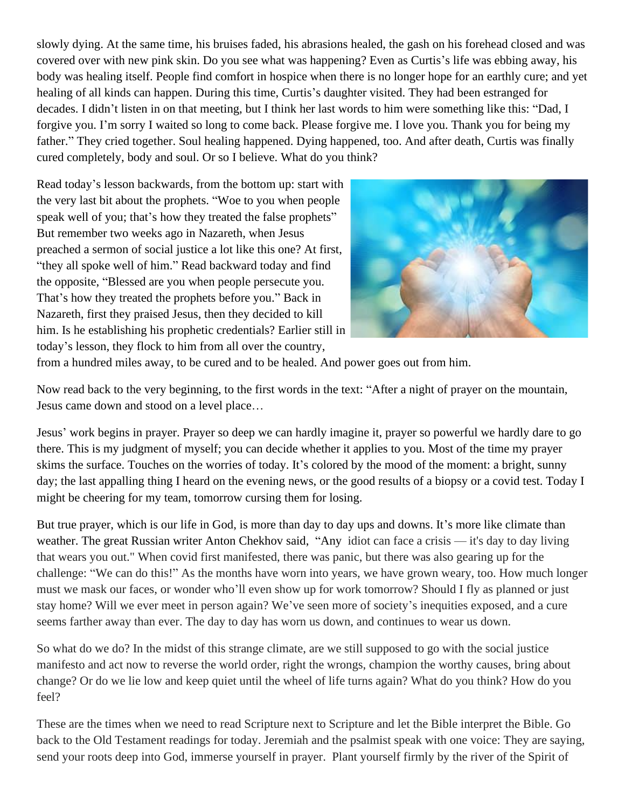slowly dying. At the same time, his bruises faded, his abrasions healed, the gash on his forehead closed and was covered over with new pink skin. Do you see what was happening? Even as Curtis's life was ebbing away, his body was healing itself. People find comfort in hospice when there is no longer hope for an earthly cure; and yet healing of all kinds can happen. During this time, Curtis's daughter visited. They had been estranged for decades. I didn't listen in on that meeting, but I think her last words to him were something like this: "Dad, I forgive you. I'm sorry I waited so long to come back. Please forgive me. I love you. Thank you for being my father." They cried together. Soul healing happened. Dying happened, too. And after death, Curtis was finally cured completely, body and soul. Or so I believe. What do you think?

Read today's lesson backwards, from the bottom up: start with the very last bit about the prophets. "Woe to you when people speak well of you; that's how they treated the false prophets" But remember two weeks ago in Nazareth, when Jesus preached a sermon of social justice a lot like this one? At first, "they all spoke well of him." Read backward today and find the opposite, "Blessed are you when people persecute you. That's how they treated the prophets before you." Back in Nazareth, first they praised Jesus, then they decided to kill him. Is he establishing his prophetic credentials? Earlier still in today's lesson, they flock to him from all over the country,



from a hundred miles away, to be cured and to be healed. And power goes out from him.

Now read back to the very beginning, to the first words in the text: "After a night of prayer on the mountain, Jesus came down and stood on a level place…

Jesus' work begins in prayer. Prayer so deep we can hardly imagine it, prayer so powerful we hardly dare to go there. This is my judgment of myself; you can decide whether it applies to you. Most of the time my prayer skims the surface. Touches on the worries of today. It's colored by the mood of the moment: a bright, sunny day; the last appalling thing I heard on the evening news, or the good results of a biopsy or a covid test. Today I might be cheering for my team, tomorrow cursing them for losing.

But true prayer, which is our life in God, is more than day to day ups and downs. It's more like climate than weather. The great Russian writer Anton Chekhov said, "Any idiot can face a crisis — it's day to day living that wears you out." When covid first manifested, there was panic, but there was also gearing up for the challenge: "We can do this!" As the months have worn into years, we have grown weary, too. How much longer must we mask our faces, or wonder who'll even show up for work tomorrow? Should I fly as planned or just stay home? Will we ever meet in person again? We've seen more of society's inequities exposed, and a cure seems farther away than ever. The day to day has worn us down, and continues to wear us down.

So what do we do? In the midst of this strange climate, are we still supposed to go with the social justice manifesto and act now to reverse the world order, right the wrongs, champion the worthy causes, bring about change? Or do we lie low and keep quiet until the wheel of life turns again? What do you think? How do you feel?

These are the times when we need to read Scripture next to Scripture and let the Bible interpret the Bible. Go back to the Old Testament readings for today. Jeremiah and the psalmist speak with one voice: They are saying, send your roots deep into God, immerse yourself in prayer. Plant yourself firmly by the river of the Spirit of